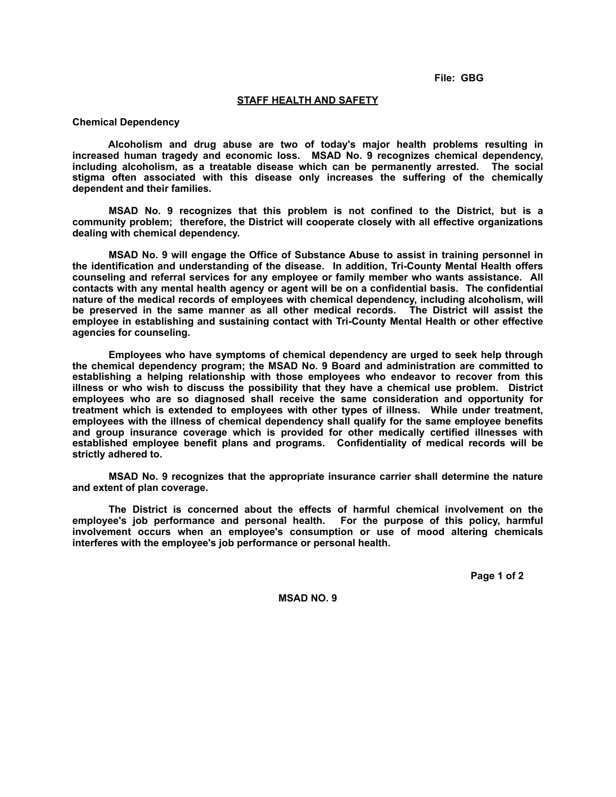**File: GBG**

## **STAFF HEALTH AND SAFETY**

## **Chemical Dependency**

 **Alcoholism and drug abuse are two of today's major health problems resulting in increased human tragedy and economic loss. MSAD No. 9 recognizes chemical dependency, including alcoholism, as a treatable disease which can be permanently arrested. The social stigma often associated with this disease only increases the suffering of the chemically dependent and their families.**

 **MSAD No. 9 recognizes that this problem is not confined to the District, but is a community problem; therefore, the District will cooperate closely with all effective organizations dealing with chemical dependency.**

 **MSAD No. 9 will engage the Office of Substance Abuse to assist in training personnel in the identification and understanding of the disease. In addition, Tri-County Mental Health offers counseling and referral services for any employee or family member who wants assistance. All contacts with any mental health agency or agent will be on a confidential basis. The confidential nature of the medical records of employees with chemical dependency, including alcoholism, will be preserved in the same manner as all other medical records. The District will assist the employee in establishing and sustaining contact with Tri-County Mental Health or other effective agencies for counseling.**

 **Employees who have symptoms of chemical dependency are urged to seek help through the chemical dependency program; the MSAD No. 9 Board and administration are committed to establishing a helping relationship with those employees who endeavor to recover from this illness or who wish to discuss the possibility that they have a chemical use problem. District employees who are so diagnosed shall receive the same consideration and opportunity for treatment which is extended to employees with other types of illness. While under treatment, employees with the illness of chemical dependency shall qualify for the same employee benefits and group insurance coverage which is provided for other medically certified illnesses with established employee benefit plans and programs. Confidentiality of medical records will be strictly adhered to.**

 **MSAD No. 9 recognizes that the appropriate insurance carrier shall determine the nature and extent of plan coverage.**

 **The District is concerned about the effects of harmful chemical involvement on the employee's job performance and personal health. For the purpose of this policy, harmful involvement occurs when an employee's consumption or use of mood altering chemicals interferes with the employee's job performance or personal health.**

 **Page 1 of 2**

**MSAD NO. 9**